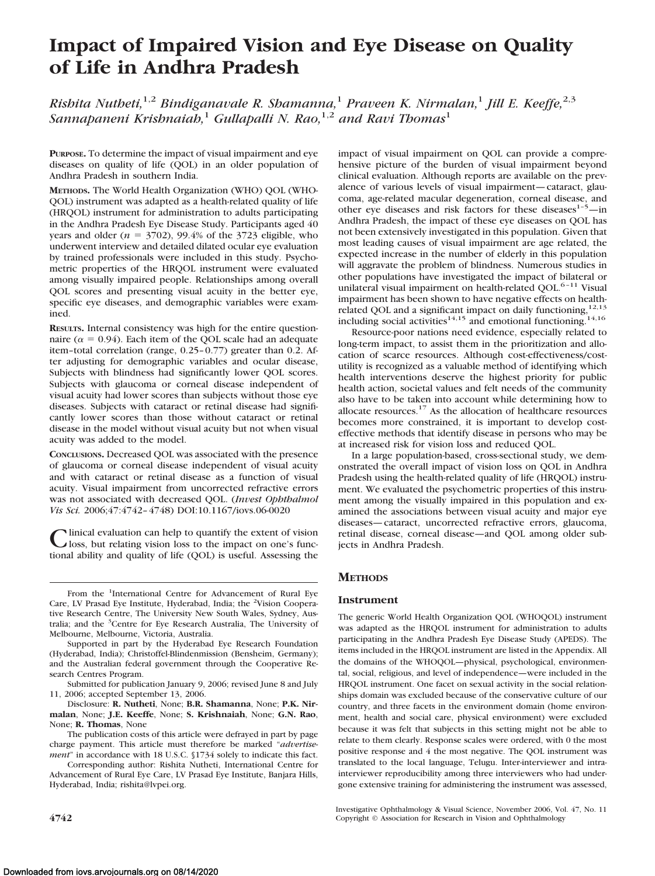# **Impact of Impaired Vision and Eye Disease on Quality of Life in Andhra Pradesh**

*Rishita Nutheti,*1,2 *Bindiganavale R. Shamanna,*<sup>1</sup> *Praveen K. Nirmalan,*<sup>1</sup> *Jill E. Keeffe,*2,3 *Sannapaneni Krishnaiah*,<sup>1</sup> *Gullapalli N. Rao*,<sup>1,2</sup> *and Ravi Thomas*<sup>1</sup>

**PURPOSE.** To determine the impact of visual impairment and eye diseases on quality of life (QOL) in an older population of Andhra Pradesh in southern India.

**METHODS.** The World Health Organization (WHO) QOL (WHO-QOL) instrument was adapted as a health-related quality of life (HRQOL) instrument for administration to adults participating in the Andhra Pradesh Eye Disease Study. Participants aged 40 years and older  $(n = 3702)$ , 99.4% of the 3723 eligible, who underwent interview and detailed dilated ocular eye evaluation by trained professionals were included in this study. Psychometric properties of the HRQOL instrument were evaluated among visually impaired people. Relationships among overall QOL scores and presenting visual acuity in the better eye, specific eye diseases, and demographic variables were examined.

**RESULTS.** Internal consistency was high for the entire questionnaire ( $\alpha = 0.94$ ). Each item of the QOL scale had an adequate item–total correlation (range, 0.25– 0.77) greater than 0.2. After adjusting for demographic variables and ocular disease, Subjects with blindness had significantly lower QOL scores. Subjects with glaucoma or corneal disease independent of visual acuity had lower scores than subjects without those eye diseases. Subjects with cataract or retinal disease had significantly lower scores than those without cataract or retinal disease in the model without visual acuity but not when visual acuity was added to the model.

**CONCLUSIONS.** Decreased QOL was associated with the presence of glaucoma or corneal disease independent of visual acuity and with cataract or retinal disease as a function of visual acuity. Visual impairment from uncorrected refractive errors was not associated with decreased QOL. (*Invest Ophthalmol Vis Sci.* 2006;47:4742– 4748) DOI:10.1167/iovs.06-0020

Clinical evaluation can help to quantify the extent of vision<br>loss, but relating vision loss to the impact on one's func-<br>tined skilling and multiple of life (OOI) is prefet at accepting the tional ability and quality of life (QOL) is useful. Assessing the

From the <sup>1</sup>International Centre for Advancement of Rural Eye Care, LV Prasad Eye Institute, Hyderabad, India; the <sup>2</sup>Vision Cooperative Research Centre, The University New South Wales, Sydney, Australia; and the <sup>3</sup>Centre for Eye Research Australia, The University of Melbourne, Melbourne, Victoria, Australia.

Supported in part by the Hyderabad Eye Research Foundation (Hyderabad, India); Christoffel-Blindenmission (Bensheim, Germany); and the Australian federal government through the Cooperative Research Centres Program.

Submitted for publication January 9, 2006; revised June 8 and July 11, 2006; accepted September 13, 2006.

Disclosure: **R. Nutheti**, None; **B.R. Shamanna**, None; **P.K. Nirmalan**, None; **J.E. Keeffe**, None; **S. Krishnaiah**, None; **G.N. Rao**, None; **R. Thomas**, None

The publication costs of this article were defrayed in part by page charge payment. This article must therefore be marked "*advertisement*" in accordance with 18 U.S.C. §1734 solely to indicate this fact.

Corresponding author: Rishita Nutheti, International Centre for Advancement of Rural Eye Care, LV Prasad Eye Institute, Banjara Hills, Hyderabad, India; rishita@lvpei.org.

impact of visual impairment on QOL can provide a comprehensive picture of the burden of visual impairment beyond clinical evaluation. Although reports are available on the prevalence of various levels of visual impairment—cataract, glaucoma, age-related macular degeneration, corneal disease, and other eye diseases and risk factors for these diseases $1-\frac{5}{7}$ —in Andhra Pradesh, the impact of these eye diseases on QOL has not been extensively investigated in this population. Given that most leading causes of visual impairment are age related, the expected increase in the number of elderly in this population will aggravate the problem of blindness. Numerous studies in other populations have investigated the impact of bilateral or unilateral visual impairment on health-related QOL.<sup>6-11</sup> Visual impairment has been shown to have negative effects on healthrelated QOL and a significant impact on daily functioning,<sup>12,13</sup> including social activities<sup>14,15</sup> and emotional functioning.<sup>14,16</sup>

Resource-poor nations need evidence, especially related to long-term impact, to assist them in the prioritization and allocation of scarce resources. Although cost-effectiveness/costutility is recognized as a valuable method of identifying which health interventions deserve the highest priority for public health action, societal values and felt needs of the community also have to be taken into account while determining how to allocate resources. $17$  As the allocation of healthcare resources becomes more constrained, it is important to develop costeffective methods that identify disease in persons who may be at increased risk for vision loss and reduced QOL.

In a large population-based, cross-sectional study, we demonstrated the overall impact of vision loss on QOL in Andhra Pradesh using the health-related quality of life (HRQOL) instrument. We evaluated the psychometric properties of this instrument among the visually impaired in this population and examined the associations between visual acuity and major eye diseases—cataract, uncorrected refractive errors, glaucoma, retinal disease, corneal disease—and QOL among older subjects in Andhra Pradesh.

# **METHODS**

# **Instrument**

The generic World Health Organization QOL (WHOQOL) instrument was adapted as the HRQOL instrument for administration to adults participating in the Andhra Pradesh Eye Disease Study (APEDS). The items included in the HRQOL instrument are listed in the Appendix. All the domains of the WHOQOL—physical, psychological, environmental, social, religious, and level of independence—were included in the HRQOL instrument. One facet on sexual activity in the social relationships domain was excluded because of the conservative culture of our country, and three facets in the environment domain (home environment, health and social care, physical environment) were excluded because it was felt that subjects in this setting might not be able to relate to them clearly. Response scales were ordered, with 0 the most positive response and 4 the most negative. The QOL instrument was translated to the local language, Telugu. Inter-interviewer and intrainterviewer reproducibility among three interviewers who had undergone extensive training for administering the instrument was assessed,

Investigative Ophthalmology & Visual Science, November 2006, Vol. 47, No. 11 **4742** Copyright © Association for Research in Vision and Ophthalmology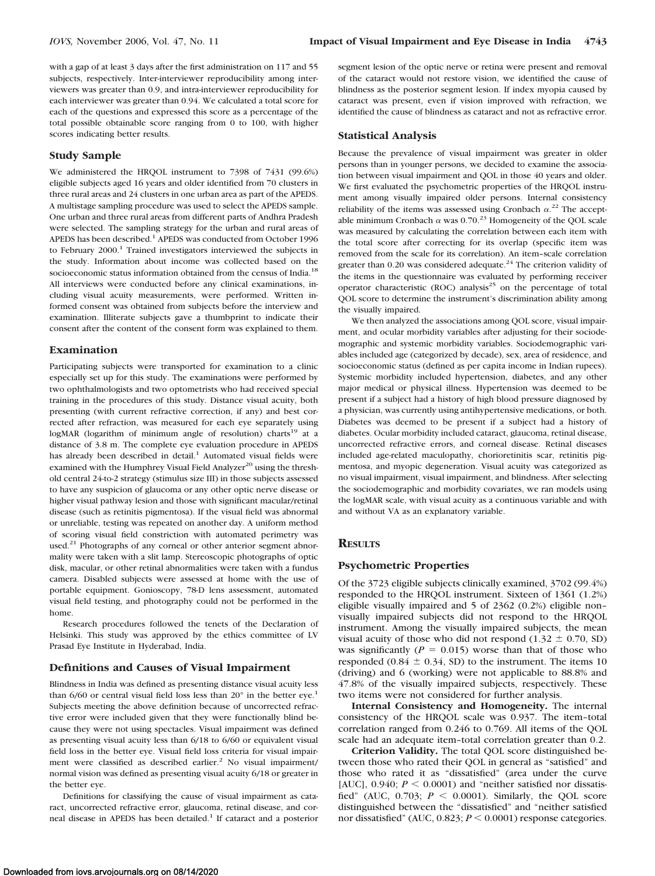with a gap of at least 3 days after the first administration on 117 and 55 subjects, respectively. Inter-interviewer reproducibility among interviewers was greater than 0.9, and intra-interviewer reproducibility for each interviewer was greater than 0.94. We calculated a total score for each of the questions and expressed this score as a percentage of the total possible obtainable score ranging from 0 to 100, with higher scores indicating better results.

## **Study Sample**

We administered the HRQOL instrument to 7398 of 7431 (99.6%) eligible subjects aged 16 years and older identified from 70 clusters in three rural areas and 24 clusters in one urban area as part of the APEDS. A multistage sampling procedure was used to select the APEDS sample. One urban and three rural areas from different parts of Andhra Pradesh were selected. The sampling strategy for the urban and rural areas of APEDS has been described.<sup>1</sup> APEDS was conducted from October 1996 to February 2000.<sup>1</sup> Trained investigators interviewed the subjects in the study. Information about income was collected based on the socioeconomic status information obtained from the census of India.<sup>18</sup> All interviews were conducted before any clinical examinations, including visual acuity measurements, were performed. Written informed consent was obtained from subjects before the interview and examination. Illiterate subjects gave a thumbprint to indicate their consent after the content of the consent form was explained to them.

### **Examination**

Participating subjects were transported for examination to a clinic especially set up for this study. The examinations were performed by two ophthalmologists and two optometrists who had received special training in the procedures of this study. Distance visual acuity, both presenting (with current refractive correction, if any) and best corrected after refraction, was measured for each eye separately using logMAR (logarithm of minimum angle of resolution) charts<sup>19</sup> at a distance of 3.8 m. The complete eye evaluation procedure in APEDS has already been described in detail.<sup>1</sup> Automated visual fields were examined with the Humphrey Visual Field Analyzer<sup>20</sup> using the threshold central 24-to-2 strategy (stimulus size III) in those subjects assessed to have any suspicion of glaucoma or any other optic nerve disease or higher visual pathway lesion and those with significant macular/retinal disease (such as retinitis pigmentosa). If the visual field was abnormal or unreliable, testing was repeated on another day. A uniform method of scoring visual field constriction with automated perimetry was used.<sup>21</sup> Photographs of any corneal or other anterior segment abnormality were taken with a slit lamp. Stereoscopic photographs of optic disk, macular, or other retinal abnormalities were taken with a fundus camera. Disabled subjects were assessed at home with the use of portable equipment. Gonioscopy, 78-D lens assessment, automated visual field testing, and photography could not be performed in the home.

Research procedures followed the tenets of the Declaration of Helsinki. This study was approved by the ethics committee of LV Prasad Eye Institute in Hyderabad, India.

#### **Definitions and Causes of Visual Impairment**

Blindness in India was defined as presenting distance visual acuity less than  $6/60$  or central visual field loss less than  $20^{\circ}$  in the better eye.<sup>1</sup> Subjects meeting the above definition because of uncorrected refractive error were included given that they were functionally blind because they were not using spectacles. Visual impairment was defined as presenting visual acuity less than 6/18 to 6/60 or equivalent visual field loss in the better eye. Visual field loss criteria for visual impairment were classified as described earlier.<sup>2</sup> No visual impairment/ normal vision was defined as presenting visual acuity 6/18 or greater in the better eye.

Definitions for classifying the cause of visual impairment as cataract, uncorrected refractive error, glaucoma, retinal disease, and corneal disease in APEDS has been detailed.<sup>1</sup> If cataract and a posterior

segment lesion of the optic nerve or retina were present and removal of the cataract would not restore vision, we identified the cause of blindness as the posterior segment lesion. If index myopia caused by cataract was present, even if vision improved with refraction, we identified the cause of blindness as cataract and not as refractive error.

#### **Statistical Analysis**

Because the prevalence of visual impairment was greater in older persons than in younger persons, we decided to examine the association between visual impairment and QOL in those 40 years and older. We first evaluated the psychometric properties of the HRQOL instrument among visually impaired older persons. Internal consistency reliability of the items was assessed using Cronbach  $\alpha$ .<sup>22</sup> The acceptable minimum Cronbach  $\alpha$  was 0.70.<sup>23</sup> Homogeneity of the QOL scale was measured by calculating the correlation between each item with the total score after correcting for its overlap (specific item was removed from the scale for its correlation). An item–scale correlation greater than 0.20 was considered adequate.<sup>24</sup> The criterion validity of the items in the questionnaire was evaluated by performing receiver operator characteristic (ROC) analysis<sup>25</sup> on the percentage of total QOL score to determine the instrument's discrimination ability among the visually impaired.

We then analyzed the associations among QOL score, visual impairment, and ocular morbidity variables after adjusting for their sociodemographic and systemic morbidity variables. Sociodemographic variables included age (categorized by decade), sex, area of residence, and socioeconomic status (defined as per capita income in Indian rupees). Systemic morbidity included hypertension, diabetes, and any other major medical or physical illness. Hypertension was deemed to be present if a subject had a history of high blood pressure diagnosed by a physician, was currently using antihypertensive medications, or both. Diabetes was deemed to be present if a subject had a history of diabetes. Ocular morbidity included cataract, glaucoma, retinal disease, uncorrected refractive errors, and corneal disease. Retinal diseases included age-related maculopathy, chorioretinitis scar, retinitis pigmentosa, and myopic degeneration. Visual acuity was categorized as no visual impairment, visual impairment, and blindness. After selecting the sociodemographic and morbidity covariates, we ran models using the logMAR scale, with visual acuity as a continuous variable and with and without VA as an explanatory variable.

# **RESULTS**

## **Psychometric Properties**

Of the 3723 eligible subjects clinically examined, 3702 (99.4%) responded to the HRQOL instrument. Sixteen of 1361 (1.2%) eligible visually impaired and 5 of 2362 (0.2%) eligible non– visually impaired subjects did not respond to the HRQOL instrument. Among the visually impaired subjects, the mean visual acuity of those who did not respond  $(1.32 \pm 0.70, SD)$ was significantly  $(P = 0.015)$  worse than that of those who responded  $(0.84 \pm 0.34, SD)$  to the instrument. The items 10 (driving) and 6 (working) were not applicable to 88.8% and 47.8% of the visually impaired subjects, respectively. These two items were not considered for further analysis.

**Internal Consistency and Homogeneity.** The internal consistency of the HRQOL scale was 0.937. The item–total correlation ranged from 0.246 to 0.769. All items of the QOL scale had an adequate item–total correlation greater than 0.2.

**Criterion Validity.** The total QOL score distinguished between those who rated their QOL in general as "satisfied" and those who rated it as "dissatisfied" (area under the curve [AUC],  $0.940$ ;  $P < 0.0001$ ) and "neither satisfied nor dissatisfied" (AUC,  $0.703$ ;  $P \le 0.0001$ ). Similarly, the QOL score distinguished between the "dissatisfied" and "neither satisfied nor dissatisfied" (AUC,  $0.823$ ;  $P \le 0.0001$ ) response categories.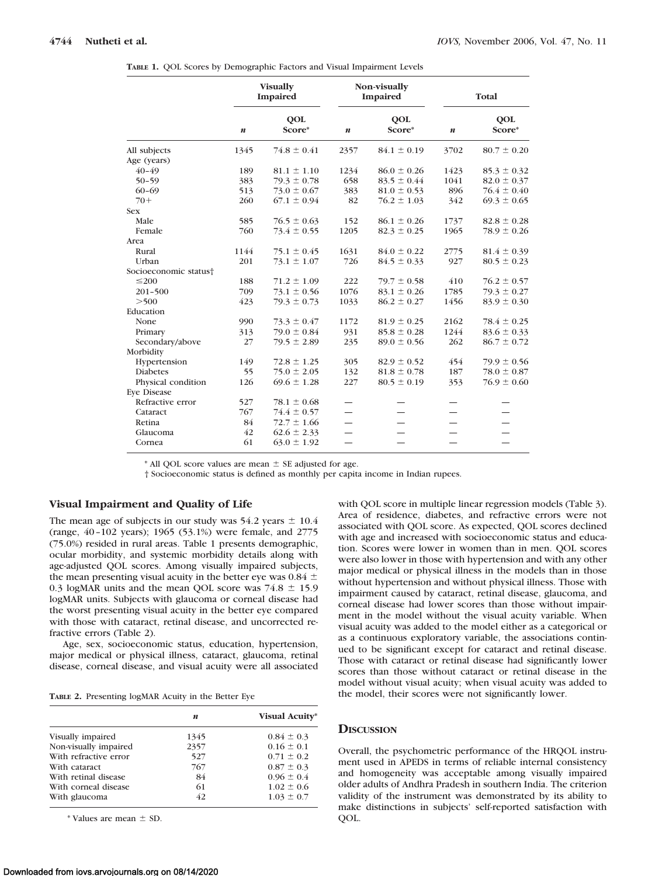|  | TABLE 1. QOL Scores by Demographic Factors and Visual Impairment Levels |  |
|--|-------------------------------------------------------------------------|--|
|--|-------------------------------------------------------------------------|--|

|                       | <b>Visually</b><br><b>Impaired</b> |                      |                  | Non-visually<br>Impaired |                  | Total                |  |
|-----------------------|------------------------------------|----------------------|------------------|--------------------------|------------------|----------------------|--|
|                       | $\boldsymbol{n}$                   | <b>QOL</b><br>Score* | $\boldsymbol{n}$ | <b>OOL</b><br>Score*     | $\boldsymbol{n}$ | <b>QOL</b><br>Score* |  |
| All subjects          | 1345                               | $74.8 \pm 0.41$      | 2357             | $84.1 \pm 0.19$          | 3702             | $80.7 \pm 0.20$      |  |
| Age (years)           |                                    |                      |                  |                          |                  |                      |  |
| $40 - 49$             | 189                                | $81.1 \pm 1.10$      | 1234             | $86.0 \pm 0.26$          | 1423             | $85.3 \pm 0.32$      |  |
| $50 - 59$             | 383                                | $79.3 \pm 0.78$      | 658              | $83.5 \pm 0.44$          | 1041             | $82.0 \pm 0.37$      |  |
| $60 - 69$             | 513                                | $73.0 \pm 0.67$      | 383              | $81.0 \pm 0.53$          | 896              | $76.4 \pm 0.40$      |  |
| $70+$                 | 260                                | $67.1 \pm 0.94$      | 82               | $76.2 \pm 1.03$          | 342              | $69.3 \pm 0.65$      |  |
| Sex                   |                                    |                      |                  |                          |                  |                      |  |
| Male                  | 585                                | $76.5 \pm 0.63$      | 152              | $86.1 \pm 0.26$          | 1737             | $82.8 \pm 0.28$      |  |
| Female                | 760                                | $73.4 \pm 0.55$      | 1205             | $82.3 \pm 0.25$          | 1965             | $78.9 \pm 0.26$      |  |
| Area                  |                                    |                      |                  |                          |                  |                      |  |
| Rural                 | 1144                               | $75.1 \pm 0.45$      | 1631             | $84.0 \pm 0.22$          | 2775             | $81.4 \pm 0.39$      |  |
| Urban                 | 201                                | $73.1 \pm 1.07$      | 726              | $84.5 \pm 0.33$          | 927              | $80.5 \pm 0.23$      |  |
| Socioeconomic status† |                                    |                      |                  |                          |                  |                      |  |
| $\leq$ 200            | 188                                | $71.2 \pm 1.09$      | 222              | $79.7 \pm 0.58$          | 410              | $76.2 \pm 0.57$      |  |
| $201 - 500$           | 709                                | $73.1 \pm 0.56$      | 1076             | $83.1 \pm 0.26$          | 1785             | $79.3 \pm 0.27$      |  |
| >500                  | 423                                | $79.3 \pm 0.73$      | 1033             | $86.2 \pm 0.27$          | 1456             | $83.9 \pm 0.30$      |  |
| Education             |                                    |                      |                  |                          |                  |                      |  |
| None                  | 990                                | $73.3 \pm 0.47$      | 1172             | $81.9 \pm 0.25$          | 2162             | $78.4 \pm 0.25$      |  |
| Primary               | 313                                | $79.0 \pm 0.84$      | 931              | $85.8 \pm 0.28$          | 1244             | $83.6 \pm 0.33$      |  |
| Secondary/above       | 27                                 | $79.5 \pm 2.89$      | 235              | $89.0 \pm 0.56$          | 262              | $86.7 \pm 0.72$      |  |
| Morbidity             |                                    |                      |                  |                          |                  |                      |  |
| Hypertension          | 149                                | $72.8 \pm 1.25$      | 305              | $82.9 \pm 0.52$          | 454              | $79.9 \pm 0.56$      |  |
| <b>Diabetes</b>       | 55                                 | $75.0 \pm 2.05$      | 132              | $81.8 \pm 0.78$          | 187              | $78.0 \pm 0.87$      |  |
| Physical condition    | 126                                | $69.6 \pm 1.28$      | 227              | $80.5 \pm 0.19$          | 353              | $76.9 \pm 0.60$      |  |
| Eve Disease           |                                    |                      |                  |                          |                  |                      |  |
| Refractive error      | 527                                | $78.1 \pm 0.68$      |                  |                          |                  |                      |  |
| Cataract              | 767                                | $74.4 \pm 0.57$      |                  |                          |                  |                      |  |
| Retina                | 84                                 | $72.7 \pm 1.66$      |                  |                          |                  |                      |  |
| Glaucoma              | 42                                 | $62.6 \pm 2.33$      |                  |                          |                  |                      |  |
| Cornea                | 61                                 | $63.0 \pm 1.92$      |                  |                          |                  |                      |  |
|                       |                                    |                      |                  |                          |                  |                      |  |

 $*$  All QOL score values are mean  $\pm$  SE adjusted for age.

† Socioeconomic status is defined as monthly per capita income in Indian rupees.

# **Visual Impairment and Quality of Life**

The mean age of subjects in our study was  $54.2$  years  $\pm 10.4$ (range, 40 –102 years); 1965 (53.1%) were female, and 2775 (75.0%) resided in rural areas. Table 1 presents demographic, ocular morbidity, and systemic morbidity details along with age-adjusted QOL scores. Among visually impaired subjects, the mean presenting visual acuity in the better eye was 0.84  $\pm$ 0.3 logMAR units and the mean QOL score was  $74.8 \pm 15.9$ logMAR units. Subjects with glaucoma or corneal disease had the worst presenting visual acuity in the better eye compared with those with cataract, retinal disease, and uncorrected refractive errors (Table 2).

Age, sex, socioeconomic status, education, hypertension, major medical or physical illness, cataract, glaucoma, retinal disease, corneal disease, and visual acuity were all associated

**TABLE 2.** Presenting logMAR Acuity in the Better Eye

|                       | n    | <b>Visual Acuity*</b> |
|-----------------------|------|-----------------------|
| Visually impaired     | 1345 | $0.84 \pm 0.3$        |
| Non-visually impaired | 2357 | $0.16 \pm 0.1$        |
| With refractive error | 527  | $0.71 \pm 0.2$        |
| With cataract         | 767  | $0.87 \pm 0.3$        |
| With retinal disease  | 84   | $0.96 \pm 0.4$        |
| With corneal disease  | 61   | $1.02 \pm 0.6$        |
| With glaucoma         | 42   | $1.03 \pm 0.7$        |

 $*$  Values are mean  $\pm$  SD.

with QOL score in multiple linear regression models (Table 3). Area of residence, diabetes, and refractive errors were not associated with QOL score. As expected, QOL scores declined with age and increased with socioeconomic status and education. Scores were lower in women than in men. QOL scores were also lower in those with hypertension and with any other major medical or physical illness in the models than in those without hypertension and without physical illness. Those with impairment caused by cataract, retinal disease, glaucoma, and corneal disease had lower scores than those without impairment in the model without the visual acuity variable. When visual acuity was added to the model either as a categorical or as a continuous exploratory variable, the associations continued to be significant except for cataract and retinal disease. Those with cataract or retinal disease had significantly lower scores than those without cataract or retinal disease in the model without visual acuity; when visual acuity was added to the model, their scores were not significantly lower.

#### **DISCUSSION**

Overall, the psychometric performance of the HRQOL instrument used in APEDS in terms of reliable internal consistency and homogeneity was acceptable among visually impaired older adults of Andhra Pradesh in southern India. The criterion validity of the instrument was demonstrated by its ability to make distinctions in subjects' self-reported satisfaction with QOL.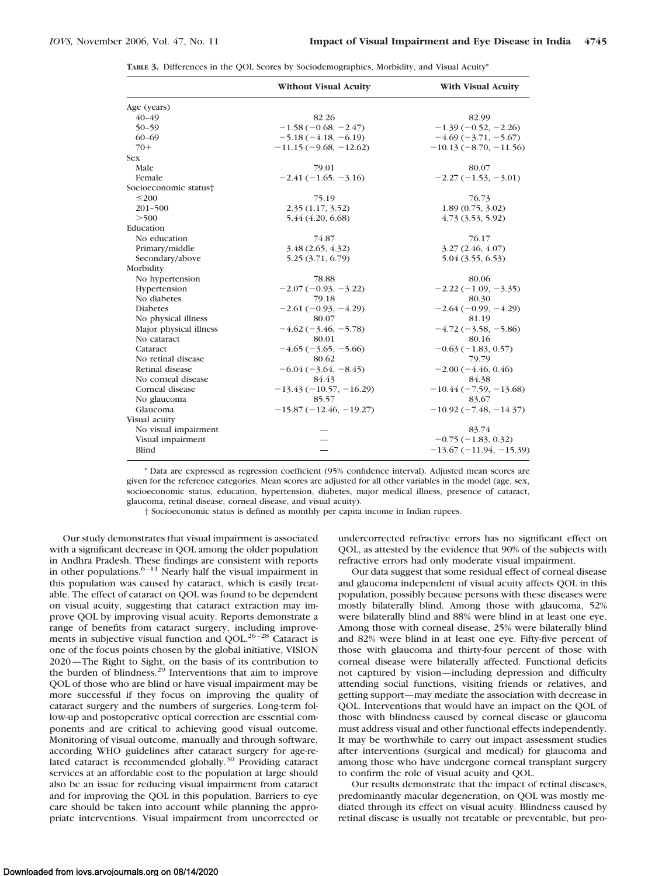| TABLE 3. Differences in the QOL Scores by Sociodemographics, Morbidity, and Visual Acuity* |  |  |  |
|--------------------------------------------------------------------------------------------|--|--|--|
|--------------------------------------------------------------------------------------------|--|--|--|

|                        | <b>Without Visual Acuity</b> | <b>With Visual Acuity</b> |
|------------------------|------------------------------|---------------------------|
| Age (years)            |                              |                           |
| $40 - 49$              | 82.26                        | 82.99                     |
| $50 - 59$              | $-1.58(-0.68, -2.47)$        | $-1.39(-0.52, -2.26)$     |
| $60 - 69$              | $-5.18(-4.18, -6.19)$        | $-4.69(-3.71, -5.67)$     |
| $70+$                  | $-11.15(-9.68, -12.62)$      | $-10.13(-8.70, -11.56)$   |
| <b>Sex</b>             |                              |                           |
| Male                   | 79.01                        | 80.07                     |
| Female                 | $-2.41(-1.65, -3.16)$        | $-2.27(-1.53, -3.01)$     |
| Socioeconomic status†  |                              |                           |
| $\leq$ 200             | 75.19                        | 76.73                     |
| $201 - 500$            | 2.35(1.17, 3.52)             | 1.89(0.75, 3.02)          |
| >500                   | 5.44 (4.20, 6.68)            | 4.73(3.53, 5.92)          |
| Education              |                              |                           |
| No education           | 74.87                        | 76.17                     |
| Primary/middle         | 3.48(2.65, 4.32)             | 3.27(2.46, 4.07)          |
| Secondary/above        | 5.25 (3.71, 6.79)            | 5.04 (3.55, 6.53)         |
| Morbidity              |                              |                           |
| No hypertension        | 78.88                        | 80.06                     |
| Hypertension           | $-2.07(-0.93, -3.22)$        | $-2.22(-1.09, -3.35)$     |
| No diabetes            | 79.18                        | 80.30                     |
| <b>Diabetes</b>        | $-2.61(-0.93, -4.29)$        | $-2.64(-0.99, -4.29)$     |
| No physical illness    | 80.07                        | 81.19                     |
| Major physical illness | $-4.62(-3.46, -5.78)$        | $-4.72(-3.58, -5.86)$     |
| No cataract            | 80.01                        | 80.16                     |
| Cataract               | $-4.65(-3.65, -5.66)$        | $-0.63(-1.83, 0.57)$      |
| No retinal disease     | 80.62                        | 79.79                     |
| Retinal disease        | $-6.04(-3.64, -8.45)$        | $-2.00(-4.46, 0.46)$      |
| No corneal disease     | 84.43                        | 84.38                     |
| Corneal disease        | $-13.43(-10.57, -16.29)$     | $-10.44(-7.59, -13.68)$   |
| No glaucoma            | 85.57                        | 83.67                     |
| Glaucoma               | $-15.87(-12.46,-19.27)$      | $-10.92(-7.48, -14.37)$   |
| Visual acuity          |                              |                           |
| No visual impairment   |                              | 83.74                     |
| Visual impairment      |                              | $-0.75(-1.83, 0.32)$      |
| Blind                  |                              | $-13.67(-11.94, -15.39)$  |

\* Data are expressed as regression coefficient (95% confidence interval). Adjusted mean scores are given for the reference categories. Mean scores are adjusted for all other variables in the model (age, sex, socioeconomic status, education, hypertension, diabetes, major medical illness, presence of cataract, glaucoma, retinal disease, corneal disease, and visual acuity).

† Socioeconomic status is defined as monthly per capita income in Indian rupees.

Our study demonstrates that visual impairment is associated with a significant decrease in QOL among the older population in Andhra Pradesh. These findings are consistent with reports in other populations. $6 - 11$  Nearly half the visual impairment in this population was caused by cataract, which is easily treatable. The effect of cataract on QOL was found to be dependent on visual acuity, suggesting that cataract extraction may improve QOL by improving visual acuity. Reports demonstrate a range of benefits from cataract surgery, including improvements in subjective visual function and QOL.<sup>26-28</sup> Cataract is one of the focus points chosen by the global initiative, VISION 2020—The Right to Sight, on the basis of its contribution to the burden of blindness.29 Interventions that aim to improve QOL of those who are blind or have visual impairment may be more successful if they focus on improving the quality of cataract surgery and the numbers of surgeries. Long-term follow-up and postoperative optical correction are essential components and are critical to achieving good visual outcome. Monitoring of visual outcome, manually and through software, according WHO guidelines after cataract surgery for age-related cataract is recommended globally.<sup>30</sup> Providing cataract services at an affordable cost to the population at large should also be an issue for reducing visual impairment from cataract and for improving the QOL in this population. Barriers to eye care should be taken into account while planning the appropriate interventions. Visual impairment from uncorrected or undercorrected refractive errors has no significant effect on QOL, as attested by the evidence that 90% of the subjects with refractive errors had only moderate visual impairment.

Our data suggest that some residual effect of corneal disease and glaucoma independent of visual acuity affects QOL in this population, possibly because persons with these diseases were mostly bilaterally blind. Among those with glaucoma, 52% were bilaterally blind and 88% were blind in at least one eye. Among those with corneal disease, 25% were bilaterally blind and 82% were blind in at least one eye. Fifty-five percent of those with glaucoma and thirty-four percent of those with corneal disease were bilaterally affected. Functional deficits not captured by vision—including depression and difficulty attending social functions, visiting friends or relatives, and getting support—may mediate the association with decrease in QOL. Interventions that would have an impact on the QOL of those with blindness caused by corneal disease or glaucoma must address visual and other functional effects independently. It may be worthwhile to carry out impact assessment studies after interventions (surgical and medical) for glaucoma and among those who have undergone corneal transplant surgery to confirm the role of visual acuity and QOL.

Our results demonstrate that the impact of retinal diseases, predominantly macular degeneration, on QOL was mostly mediated through its effect on visual acuity. Blindness caused by retinal disease is usually not treatable or preventable, but pro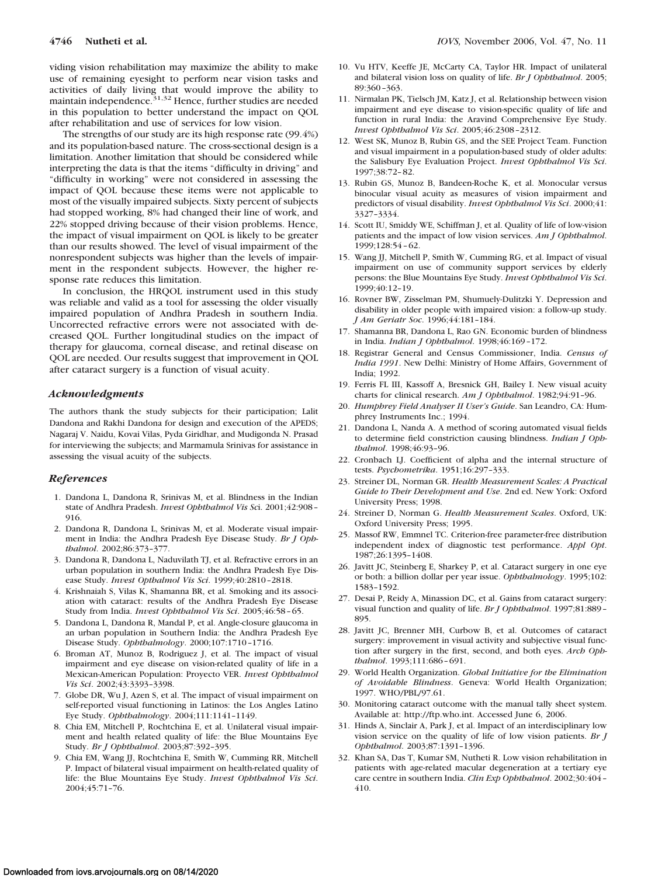viding vision rehabilitation may maximize the ability to make use of remaining eyesight to perform near vision tasks and activities of daily living that would improve the ability to maintain independence.<sup>31,32</sup> Hence, further studies are needed in this population to better understand the impact on QOL after rehabilitation and use of services for low vision.

The strengths of our study are its high response rate (99.4%) and its population-based nature. The cross-sectional design is a limitation. Another limitation that should be considered while interpreting the data is that the items "difficulty in driving" and "difficulty in working" were not considered in assessing the impact of QOL because these items were not applicable to most of the visually impaired subjects. Sixty percent of subjects had stopped working, 8% had changed their line of work, and 22% stopped driving because of their vision problems. Hence, the impact of visual impairment on QOL is likely to be greater than our results showed. The level of visual impairment of the nonrespondent subjects was higher than the levels of impairment in the respondent subjects. However, the higher response rate reduces this limitation.

In conclusion, the HRQOL instrument used in this study was reliable and valid as a tool for assessing the older visually impaired population of Andhra Pradesh in southern India. Uncorrected refractive errors were not associated with decreased QOL. Further longitudinal studies on the impact of therapy for glaucoma, corneal disease, and retinal disease on QOL are needed. Our results suggest that improvement in QOL after cataract surgery is a function of visual acuity.

#### *Acknowledgments*

The authors thank the study subjects for their participation; Lalit Dandona and Rakhi Dandona for design and execution of the APEDS; Nagaraj V. Naidu, Kovai Vilas, Pyda Giridhar, and Mudigonda N. Prasad for interviewing the subjects; and Marmamula Srinivas for assistance in assessing the visual acuity of the subjects.

## *References*

- 1. Dandona L, Dandona R, Srinivas M, et al. Blindness in the Indian state of Andhra Pradesh. *Invest Ophthalmol Vis Sc*i. 2001;42:908 – 916.
- 2. Dandona R, Dandona L, Srinivas M, et al. Moderate visual impairment in India: the Andhra Pradesh Eye Disease Study. *Br J Ophthalmol*. 2002;86:373–377.
- 3. Dandona R, Dandona L, Naduvilath TJ, et al. Refractive errors in an urban population in southern India: the Andhra Pradesh Eye Disease Study. *Invest Opthalmol Vis Sci*. 1999;40:2810 –2818.
- 4. Krishnaiah S, Vilas K, Shamanna BR, et al. Smoking and its association with cataract: results of the Andhra Pradesh Eye Disease Study from India. *Invest Ophthalmol Vis Sci*. 2005;46:58 – 65.
- 5. Dandona L, Dandona R, Mandal P, et al. Angle-closure glaucoma in an urban population in Southern India: the Andhra Pradesh Eye Disease Study. *Ophthalmology*. 2000;107:1710 –1716.
- 6. Broman AT, Munoz B, Rodriguez J, et al. The impact of visual impairment and eye disease on vision-related quality of life in a Mexican-American Population: Proyecto VER. *Invest Ophthalmol Vis Sci*. 2002;43:3393–3398.
- 7. Globe DR, Wu J, Azen S, et al. The impact of visual impairment on self-reported visual functioning in Latinos: the Los Angles Latino Eye Study. *Ophthalmology*. 2004;111:1141–1149.
- 8. Chia EM, Mitchell P, Rochtchina E, et al. Unilateral visual impairment and health related quality of life: the Blue Mountains Eye Study. *Br J Ophthalmol*. 2003;87:392–395.
- 9. Chia EM, Wang JJ, Rochtchina E, Smith W, Cumming RR, Mitchell P. Impact of bilateral visual impairment on health-related quality of life: the Blue Mountains Eye Study. *Invest Ophthalmol Vis Sci*. 2004;45:71–76.
- 10. Vu HTV, Keeffe JE, McCarty CA, Taylor HR. Impact of unilateral and bilateral vision loss on quality of life. *Br J Ophthalmol*. 2005; 89:360 –363.
- 11. Nirmalan PK, Tielsch JM, Katz J, et al. Relationship between vision impairment and eye disease to vision-specific quality of life and function in rural India: the Aravind Comprehensive Eye Study. *Invest Ophthalmol Vis Sci*. 2005;46:2308 –2312.
- 12. West SK, Munoz B, Rubin GS, and the SEE Project Team. Function and visual impairment in a population-based study of older adults: the Salisbury Eye Evaluation Project. *Invest Ophthalmol Vis Sci*. 1997;38:72– 82.
- 13. Rubin GS, Munoz B, Bandeen-Roche K, et al. Monocular versus binocular visual acuity as measures of vision impairment and predictors of visual disability. *Invest Ophthalmol Vis Sci*. 2000;41: 3327–3334.
- 14. Scott IU, Smiddy WE, Schiffman J, et al. Quality of life of low-vision patients and the impact of low vision services. *Am J Ophthalmol*. 1999;128:54 – 62.
- 15. Wang JJ, Mitchell P, Smith W, Cumming RG, et al. Impact of visual impairment on use of community support services by elderly persons: the Blue Mountains Eye Study. *Invest Ophthalmol Vis Sci*. 1999;40:12–19.
- 16. Rovner BW, Zisselman PM, Shumuely-Dulitzki Y. Depression and disability in older people with impaired vision: a follow-up study. *J Am Geriatr Soc*. 1996;44:181–184.
- 17. Shamanna BR, Dandona L, Rao GN. Economic burden of blindness in India. *Indian J Ophthalmol*. 1998;46:169 –172.
- 18. Registrar General and Census Commissioner, India. *Census of India 1991*. New Delhi: Ministry of Home Affairs, Government of India; 1992.
- 19. Ferris FL III, Kassoff A, Bresnick GH, Bailey I. New visual acuity charts for clinical research. *Am J Ophthalmol*. 1982;94:91–96.
- 20. *Humphrey Field Analyser II User's Guide*. San Leandro, CA: Humphrey Instruments Inc.; 1994.
- 21. Dandona L, Nanda A. A method of scoring automated visual fields to determine field constriction causing blindness. *Indian J Ophthalmol*. 1998;46:93–96.
- 22. Cronbach LJ. Coefficient of alpha and the internal structure of tests. *Psychometrika*. 1951;16:297–333.
- 23. Streiner DL, Norman GR. *Health Measurement Scales: A Practical Guide to Their Development and Use*. 2nd ed. New York: Oxford University Press; 1998.
- 24. Streiner D, Norman G. *Health Measurement Scales*. Oxford, UK: Oxford University Press; 1995.
- 25. Massof RW, Emmnel TC. Criterion-free parameter-free distribution independent index of diagnostic test performance. *Appl Opt*. 1987;26:1395–1408.
- 26. Javitt JC, Steinberg E, Sharkey P, et al. Cataract surgery in one eye or both: a billion dollar per year issue. *Ophthalmology*. 1995;102: 1583–1592.
- 27. Desai P, Reidy A, Minassion DC, et al. Gains from cataract surgery: visual function and quality of life. *Br J Ophthalmol*. 1997;81:889 – 895.
- 28. Javitt JC, Brenner MH, Curbow B, et al. Outcomes of cataract surgery: improvement in visual activity and subjective visual function after surgery in the first, second, and both eyes. *Arch Ophthalmol*. 1993;111:686 – 691.
- 29. World Health Organization. *Global Initiative for the Elimination of Avoidable Blindness*. Geneva: World Health Organization; 1997. WHO/PBL/97.61.
- 30. Monitoring cataract outcome with the manual tally sheet system. Available at: http://ftp.who.int. Accessed June 6, 2006.
- 31. Hinds A, Sinclair A, Park J, et al. Impact of an interdisciplinary low vision service on the quality of life of low vision patients. *Br J Ophthalmol*. 2003;87:1391–1396.
- 32. Khan SA, Das T, Kumar SM, Nutheti R. Low vision rehabilitation in patients with age-related macular degeneration at a tertiary eye care centre in southern India. *Clin Exp Ophthalmol*. 2002;30:404 – 410.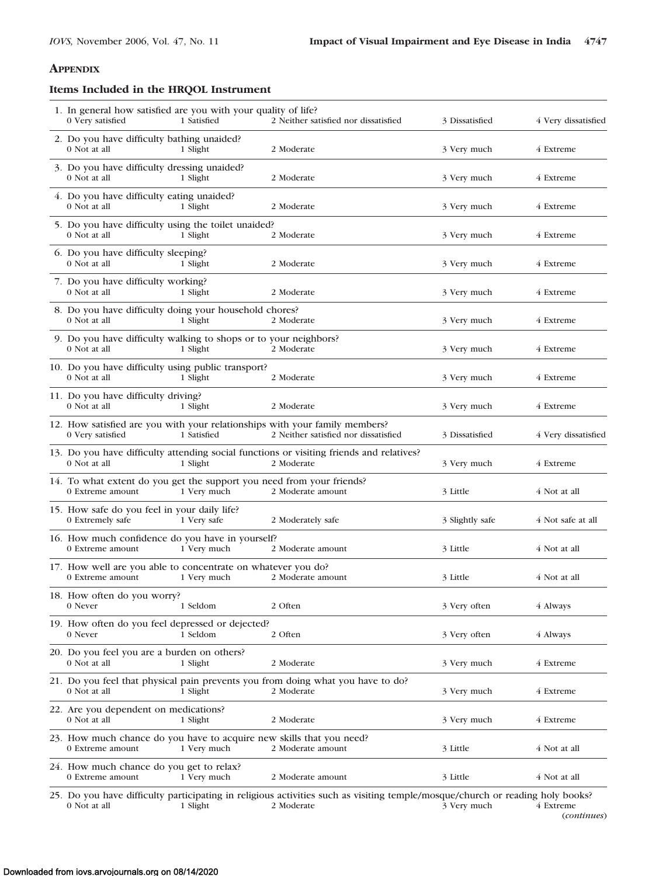# **APPENDIX**

# **Items Included in the HRQOL Instrument**

| 1. In general how satisfied are you with your quality of life?<br>0 Very satisfied        | 1 Satisfied | 2 Neither satisfied nor dissatisfied                                                                                                        | 3 Dissatisfied  | 4 Very dissatisfied |
|-------------------------------------------------------------------------------------------|-------------|---------------------------------------------------------------------------------------------------------------------------------------------|-----------------|---------------------|
| 2. Do you have difficulty bathing unaided?<br>0 Not at all                                | 1 Slight    | 2 Moderate                                                                                                                                  | 3 Very much     | 4 Extreme           |
| 3. Do you have difficulty dressing unaided?<br>0 Not at all                               | 1 Slight    | 2 Moderate                                                                                                                                  | 3 Very much     | 4 Extreme           |
| 4. Do you have difficulty eating unaided?<br>0 Not at all                                 | 1 Slight    | 2 Moderate                                                                                                                                  | 3 Very much     | 4 Extreme           |
| 5. Do you have difficulty using the toilet unaided?<br>0 Not at all                       | 1 Slight    | 2 Moderate                                                                                                                                  | 3 Very much     | 4 Extreme           |
| 6. Do you have difficulty sleeping?<br>0 Not at all                                       | 1 Slight    | 2 Moderate                                                                                                                                  | 3 Very much     | 4 Extreme           |
| 7. Do you have difficulty working?<br>0 Not at all                                        | 1 Slight    | 2 Moderate                                                                                                                                  | 3 Very much     | 4 Extreme           |
| 8. Do you have difficulty doing your household chores?<br>0 Not at all                    | 1 Slight    | 2 Moderate                                                                                                                                  | 3 Very much     | 4 Extreme           |
| 9. Do you have difficulty walking to shops or to your neighbors?<br>0 Not at all          | 1 Slight    | 2 Moderate                                                                                                                                  | 3 Very much     | 4 Extreme           |
| 10. Do you have difficulty using public transport?<br>0 Not at all                        | 1 Slight    | 2 Moderate                                                                                                                                  | 3 Very much     | 4 Extreme           |
| 11. Do you have difficulty driving?<br>0 Not at all                                       | 1 Slight    | 2 Moderate                                                                                                                                  | 3 Very much     | 4 Extreme           |
| 0 Very satisfied                                                                          | 1 Satisfied | 12. How satisfied are you with your relationships with your family members?<br>2 Neither satisfied nor dissatisfied                         | 3 Dissatisfied  | 4 Very dissatisfied |
| 0 Not at all                                                                              | 1 Slight    | 13. Do you have difficulty attending social functions or visiting friends and relatives?<br>2 Moderate                                      | 3 Very much     | 4 Extreme           |
| 14. To what extent do you get the support you need from your friends?<br>0 Extreme amount | 1 Very much | 2 Moderate amount                                                                                                                           | 3 Little        | 4 Not at all        |
| 15. How safe do you feel in your daily life?<br>0 Extremely safe                          | 1 Very safe | 2 Moderately safe                                                                                                                           | 3 Slightly safe | 4 Not safe at all   |
| 16. How much confidence do you have in yourself?<br>0 Extreme amount                      | 1 Very much | 2 Moderate amount                                                                                                                           | 3 Little        | 4 Not at all        |
| 17. How well are you able to concentrate on whatever you do?<br>0 Extreme amount          | 1 Very much | 2 Moderate amount                                                                                                                           | 3 Little        | 4 Not at all        |
| 18. How often do you worry?<br>0 Never                                                    | 1 Seldom    | 2 Often                                                                                                                                     | 3 Very often    | 4 Always            |
| 19. How often do you feel depressed or dejected?<br>0 Never                               | 1 Seldom    | 2 Often                                                                                                                                     | 3 Very often    | 4 Always            |
| 20. Do you feel you are a burden on others?<br>0 Not at all                               | 1 Slight    | 2 Moderate                                                                                                                                  | 3 Very much     | 4 Extreme           |
| 0 Not at all                                                                              | 1 Slight    | 21. Do you feel that physical pain prevents you from doing what you have to do?<br>2 Moderate                                               | 3 Very much     | 4 Extreme           |
| 22. Are you dependent on medications?<br>0 Not at all                                     | 1 Slight    | 2 Moderate                                                                                                                                  | 3 Very much     | 4 Extreme           |
| 23. How much chance do you have to acquire new skills that you need?<br>0 Extreme amount  | 1 Very much | 2 Moderate amount                                                                                                                           | 3 Little        | 4 Not at all        |
| 24. How much chance do you get to relax?<br>0 Extreme amount                              | 1 Very much | 2 Moderate amount                                                                                                                           | 3 Little        | 4 Not at all        |
| 0 Not at all                                                                              | 1 Slight    | 25. Do you have difficulty participating in religious activities such as visiting temple/mosque/church or reading holy books?<br>2 Moderate | 3 Very much     | 4 Extreme           |

(*continues*)